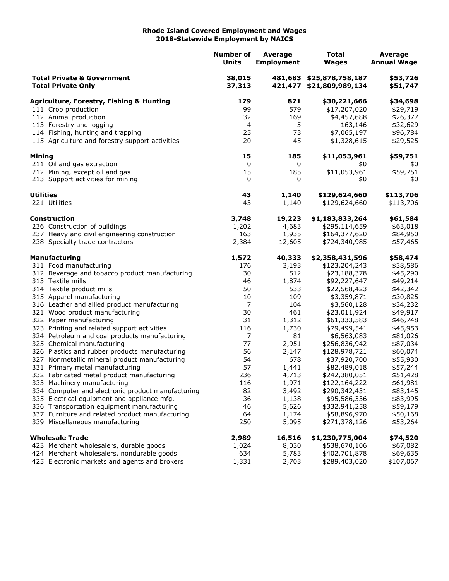## **Rhode Island Covered Employment and Wages 2018-Statewide Employment by NAICS**

|                                                                    |                                                                             | <b>Number of</b><br><b>Units</b> | Average<br><b>Employment</b> | <b>Total</b><br><b>Wages</b>                         | <b>Average</b><br><b>Annual Wage</b> |
|--------------------------------------------------------------------|-----------------------------------------------------------------------------|----------------------------------|------------------------------|------------------------------------------------------|--------------------------------------|
| <b>Total Private &amp; Government</b><br><b>Total Private Only</b> |                                                                             | 38,015<br>37,313                 |                              | 481,683 \$25,878,758,187<br>421,477 \$21,809,989,134 | \$53,726<br>\$51,747                 |
|                                                                    | <b>Agriculture, Forestry, Fishing &amp; Hunting</b>                         | 179                              | 871                          | \$30,221,666                                         | \$34,698                             |
|                                                                    | 111 Crop production                                                         | 99                               | 579                          | \$17,207,020                                         | \$29,719                             |
|                                                                    | 112 Animal production                                                       | 32                               | 169                          | \$4,457,688                                          | \$26,377                             |
|                                                                    | 113 Forestry and logging                                                    | 4                                | 5                            | 163,146                                              | \$32,629                             |
|                                                                    | 114 Fishing, hunting and trapping                                           | 25                               | 73                           | \$7,065,197                                          | \$96,784                             |
|                                                                    | 115 Agriculture and forestry support activities                             | 20                               | 45                           | \$1,328,615                                          | \$29,525                             |
| Mining                                                             |                                                                             | 15                               | 185                          | \$11,053,961                                         | \$59,751                             |
|                                                                    | 211 Oil and gas extraction                                                  | 0                                | 0                            | \$0                                                  | \$0                                  |
|                                                                    | 212 Mining, except oil and gas                                              | 15                               | 185                          | \$11,053,961                                         | \$59,751                             |
|                                                                    | 213 Support activities for mining                                           | 0                                | 0                            | \$0                                                  | \$0                                  |
| <b>Utilities</b>                                                   |                                                                             | 43                               | 1,140                        | \$129,624,660                                        | \$113,706                            |
|                                                                    | 221 Utilities                                                               | 43                               | 1,140                        | \$129,624,660                                        | \$113,706                            |
|                                                                    | <b>Construction</b>                                                         | 3,748                            | 19,223                       | \$1,183,833,264                                      | \$61,584                             |
|                                                                    | 236 Construction of buildings                                               | 1,202                            | 4,683                        | \$295,114,659                                        | \$63,018                             |
|                                                                    | 237 Heavy and civil engineering construction                                | 163                              | 1,935                        | \$164,377,620                                        | \$84,950                             |
|                                                                    | 238 Specialty trade contractors                                             | 2,384                            | 12,605                       | \$724,340,985                                        | \$57,465                             |
|                                                                    | <b>Manufacturing</b>                                                        | 1,572                            | 40,333                       | \$2,358,431,596                                      | \$58,474                             |
|                                                                    | 311 Food manufacturing                                                      | 176                              | 3,193                        | \$123,204,243                                        | \$38,586                             |
|                                                                    | 312 Beverage and tobacco product manufacturing                              | 30                               | 512                          | \$23,188,378                                         | \$45,290                             |
|                                                                    | 313 Textile mills                                                           | 46                               | 1,874                        | \$92,227,647                                         | \$49,214                             |
|                                                                    | 314 Textile product mills                                                   | 50                               | 533                          | \$22,568,423                                         | \$42,342                             |
|                                                                    | 315 Apparel manufacturing                                                   | 10                               | 109                          | \$3,359,871                                          | \$30,825                             |
|                                                                    | 316 Leather and allied product manufacturing                                | 7                                | 104                          | \$3,560,128                                          | \$34,232                             |
|                                                                    | 321 Wood product manufacturing                                              | 30                               | 461                          | \$23,011,924                                         | \$49,917                             |
|                                                                    | 322 Paper manufacturing                                                     | 31                               | 1,312                        | \$61,333,583                                         | \$46,748                             |
|                                                                    | 323 Printing and related support activities                                 | 116<br>$\overline{7}$            | 1,730                        | \$79,499,541                                         | \$45,953                             |
|                                                                    | 324 Petroleum and coal products manufacturing<br>325 Chemical manufacturing | 77                               | 81<br>2,951                  | \$6,563,083<br>\$256,836,942                         | \$81,026                             |
|                                                                    | 326 Plastics and rubber products manufacturing                              | 56                               | 2,147                        | \$128,978,721                                        | \$87,034<br>\$60,074                 |
|                                                                    | 327 Nonmetallic mineral product manufacturing                               | 54                               | 678                          | \$37,920,700                                         | \$55,930                             |
|                                                                    | 331 Primary metal manufacturing                                             | 57                               | 1,441                        | \$82,489,018                                         | \$57,244                             |
|                                                                    | 332 Fabricated metal product manufacturing                                  | 236                              | 4,713                        | \$242,380,051                                        | \$51,428                             |
|                                                                    | 333 Machinery manufacturing                                                 | 116                              | 1,971                        | \$122,164,222                                        | \$61,981                             |
|                                                                    | 334 Computer and electronic product manufacturing                           | 82                               | 3,492                        | \$290,342,431                                        | \$83,145                             |
|                                                                    | 335 Electrical equipment and appliance mfg.                                 | 36                               | 1,138                        | \$95,586,336                                         | \$83,995                             |
|                                                                    | 336 Transportation equipment manufacturing                                  | 46                               | 5,626                        | \$332,941,258                                        | \$59,179                             |
|                                                                    | 337 Furniture and related product manufacturing                             | 64                               | 1,174                        | \$58,896,970                                         | \$50,168                             |
|                                                                    | 339 Miscellaneous manufacturing                                             | 250                              | 5,095                        | \$271,378,126                                        | \$53,264                             |
|                                                                    | <b>Wholesale Trade</b>                                                      | 2,989                            | 16,516                       | \$1,230,775,004                                      | \$74,520                             |
|                                                                    | 423 Merchant wholesalers, durable goods                                     | 1,024                            | 8,030                        | \$538,670,106                                        | \$67,082                             |
|                                                                    | 424 Merchant wholesalers, nondurable goods                                  | 634                              | 5,783                        | \$402,701,878                                        | \$69,635                             |
|                                                                    | 425 Electronic markets and agents and brokers                               | 1,331                            | 2,703                        | \$289,403,020                                        | \$107,067                            |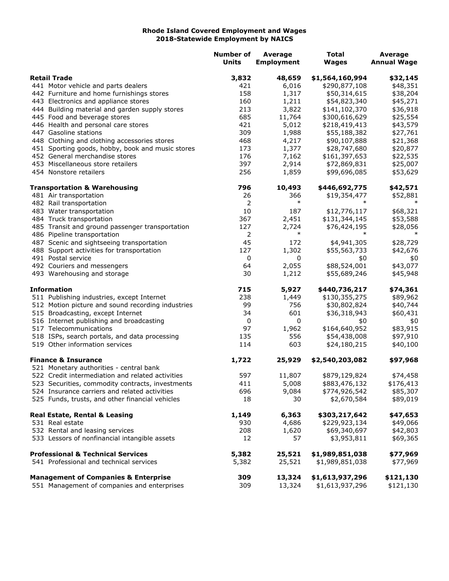## **Rhode Island Covered Employment and Wages 2018-Statewide Employment by NAICS**

|                                                   | <b>Number of</b><br><b>Units</b> | <b>Average</b><br><b>Employment</b> | <b>Total</b><br><b>Wages</b> | Average<br><b>Annual Wage</b> |
|---------------------------------------------------|----------------------------------|-------------------------------------|------------------------------|-------------------------------|
| <b>Retail Trade</b>                               | 3,832                            | 48,659                              | \$1,564,160,994              | \$32,145                      |
| 441 Motor vehicle and parts dealers               | 421                              | 6,016                               | \$290,877,108                | \$48,351                      |
| 442 Furniture and home furnishings stores         | 158                              | 1,317                               | \$50,314,615                 | \$38,204                      |
| 443 Electronics and appliance stores              | 160                              | 1,211                               | \$54,823,340                 | \$45,271                      |
| 444 Building material and garden supply stores    | 213                              | 3,822                               | \$141,102,370                | \$36,918                      |
| 445 Food and beverage stores                      | 685                              | 11,764                              | \$300,616,629                | \$25,554                      |
| 446 Health and personal care stores               | 421                              | 5,012                               | \$218,419,413                | \$43,579                      |
| 447 Gasoline stations                             | 309                              | 1,988                               | \$55,188,382                 | \$27,761                      |
| 448 Clothing and clothing accessories stores      | 468                              | 4,217                               | \$90,107,888                 | \$21,368                      |
| 451 Sporting goods, hobby, book and music stores  | 173                              | 1,377                               | \$28,747,680                 | \$20,877                      |
| 452 General merchandise stores                    | 176                              | 7,162                               | \$161,397,653                | \$22,535                      |
| 453 Miscellaneous store retailers                 | 397                              | 2,914                               | \$72,869,831                 | \$25,007                      |
| 454 Nonstore retailers                            | 256                              | 1,859                               | \$99,696,085                 | \$53,629                      |
| <b>Transportation &amp; Warehousing</b>           | 796                              | 10,493                              | \$446,692,775                | \$42,571                      |
| 481 Air transportation                            | 26                               | 366                                 | \$19,354,477                 | \$52,881                      |
| 482 Rail transportation                           | 2                                | $\ast$                              | $\ast$                       | ∗                             |
| 483 Water transportation                          | 10                               | 187                                 | \$12,776,117                 | \$68,321                      |
| 484 Truck transportation                          | 367                              | 2,451                               | \$131,344,145                | \$53,588                      |
| 485 Transit and ground passenger transportation   | 127                              | 2,724                               | \$76,424,195                 | \$28,056                      |
| 486 Pipeline transportation                       | 2                                | $\ast$                              |                              | $\ast$                        |
| 487 Scenic and sightseeing transportation         | 45                               | 172                                 | \$4,941,305                  | \$28,729                      |
| 488 Support activities for transportation         | 127                              | 1,302                               | \$55,563,733                 | \$42,676                      |
| 491 Postal service                                | 0                                | 0                                   | \$0                          | \$0                           |
| 492 Couriers and messengers                       | 64                               | 2,055                               | \$88,524,001                 | \$43,077                      |
| 493 Warehousing and storage                       | 30                               | 1,212                               | \$55,689,246                 | \$45,948                      |
| <b>Information</b>                                | 715                              | 5,927                               | \$440,736,217                | \$74,361                      |
| 511 Publishing industries, except Internet        | 238                              | 1,449                               | \$130,355,275                | \$89,962                      |
| 512 Motion picture and sound recording industries | 99                               | 756                                 | \$30,802,824                 | \$40,744                      |
| 515 Broadcasting, except Internet                 | 34                               | 601                                 | \$36,318,943                 | \$60,431                      |
| 516 Internet publishing and broadcasting          | 0                                | 0                                   | \$0                          | \$0                           |
| 517 Telecommunications                            | 97                               | 1,962                               | \$164,640,952                | \$83,915                      |
| 518 ISPs, search portals, and data processing     | 135                              | 556                                 | \$54,438,008                 | \$97,910                      |
| 519 Other information services                    | 114                              | 603                                 | \$24,180,215                 | \$40,100                      |
| <b>Finance &amp; Insurance</b>                    | 1,722                            | 25,929                              | \$2,540,203,082              | \$97,968                      |
| 521 Monetary authorities - central bank           |                                  |                                     |                              |                               |
| 522 Credit intermediation and related activities  | 597                              | 11,807                              | \$879,129,824                | \$74,458                      |
| 523 Securities, commodity contracts, investments  | 411                              | 5,008                               | \$883,476,132                | \$176,413<br>\$85,307         |
| 524 Insurance carriers and related activities     | 696                              | 9,084                               | \$774,926,542                |                               |
| 525 Funds, trusts, and other financial vehicles   | 18                               | 30                                  | \$2,670,584                  | \$89,019                      |
| Real Estate, Rental & Leasing                     | 1,149                            | 6,363                               | \$303,217,642                | \$47,653                      |
| 531 Real estate                                   | 930                              | 4,686                               | \$229,923,134                | \$49,066                      |
| 532 Rental and leasing services                   | 208                              | 1,620                               | \$69,340,697                 | \$42,803                      |
| 533 Lessors of nonfinancial intangible assets     | 12                               | 57                                  | \$3,953,811                  | \$69,365                      |
| <b>Professional &amp; Technical Services</b>      | 5,382                            | 25,521                              | \$1,989,851,038              | \$77,969                      |
| 541 Professional and technical services           | 5,382                            | 25,521                              | \$1,989,851,038              | \$77,969                      |
| <b>Management of Companies &amp; Enterprise</b>   | 309                              | 13,324                              | \$1,613,937,296              | \$121,130                     |
| 551 Management of companies and enterprises       | 309                              | 13,324                              | \$1,613,937,296              | \$121,130                     |